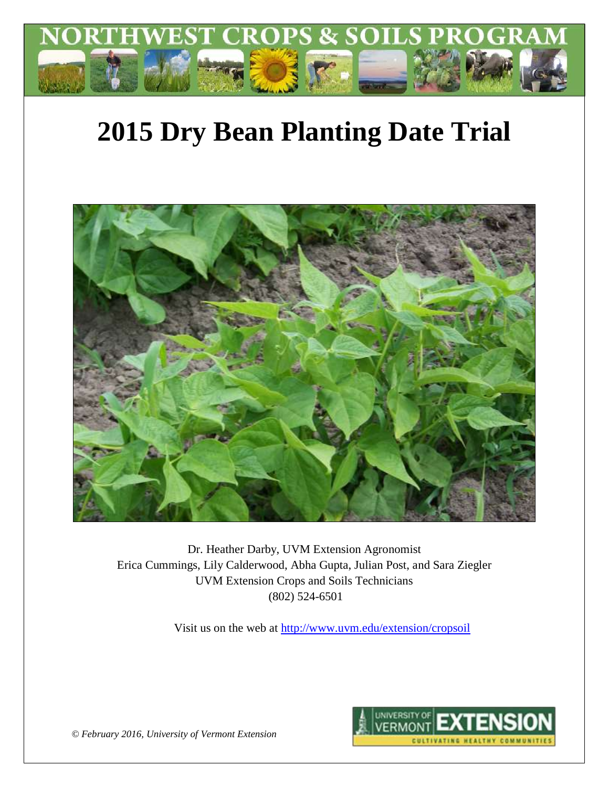

# **2015 Dry Bean Planting Date Trial**



Dr. Heather Darby, UVM Extension Agronomist Erica Cummings, Lily Calderwood, Abha Gupta, Julian Post, and Sara Ziegler UVM Extension Crops and Soils Technicians (802) 524-6501

Visit us on the web at<http://www.uvm.edu/extension/cropsoil>



*© February 2016, University of Vermont Extension*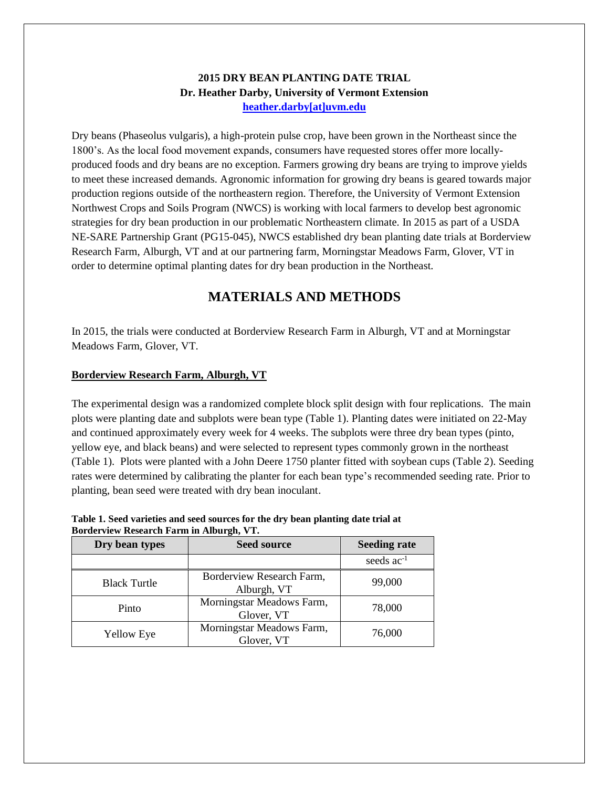### **2015 DRY BEAN PLANTING DATE TRIAL Dr. Heather Darby, University of Vermont Extension [heather.darby\[at\]uvm.edu](mailto:hdarby@uvm.edu?subject=2012%20Winter%20Wheat%20Planting%20Date)**

Dry beans (Phaseolus vulgaris), a high-protein pulse crop, have been grown in the Northeast since the 1800's. As the local food movement expands, consumers have requested stores offer more locallyproduced foods and dry beans are no exception. Farmers growing dry beans are trying to improve yields to meet these increased demands. Agronomic information for growing dry beans is geared towards major production regions outside of the northeastern region. Therefore, the University of Vermont Extension Northwest Crops and Soils Program (NWCS) is working with local farmers to develop best agronomic strategies for dry bean production in our problematic Northeastern climate. In 2015 as part of a USDA NE-SARE Partnership Grant (PG15-045), NWCS established dry bean planting date trials at Borderview Research Farm, Alburgh, VT and at our partnering farm, Morningstar Meadows Farm, Glover, VT in order to determine optimal planting dates for dry bean production in the Northeast.

# **MATERIALS AND METHODS**

In 2015, the trials were conducted at Borderview Research Farm in Alburgh, VT and at Morningstar Meadows Farm, Glover, VT.

#### **Borderview Research Farm, Alburgh, VT**

The experimental design was a randomized complete block split design with four replications. The main plots were planting date and subplots were bean type (Table 1). Planting dates were initiated on 22-May and continued approximately every week for 4 weeks. The subplots were three dry bean types (pinto, yellow eye, and black beans) and were selected to represent types commonly grown in the northeast (Table 1). Plots were planted with a John Deere 1750 planter fitted with soybean cups (Table 2). Seeding rates were determined by calibrating the planter for each bean type's recommended seeding rate. Prior to planting, bean seed were treated with dry bean inoculant.

| Table 1. Seed varieties and seed sources for the dry bean planting date trial at |  |
|----------------------------------------------------------------------------------|--|
| Borderview Research Farm in Alburgh, VT.                                         |  |

| Dry bean types      | <b>Seed source</b>                       | <b>Seeding rate</b>    |
|---------------------|------------------------------------------|------------------------|
|                     |                                          | seeds ac <sup>-1</sup> |
| <b>Black Turtle</b> | Borderview Research Farm,<br>Alburgh, VT | 99,000                 |
| Pinto               | Morningstar Meadows Farm,<br>Glover, VT  | 78,000                 |
| <b>Yellow Eye</b>   | Morningstar Meadows Farm,<br>Glover, VT  | 76,000                 |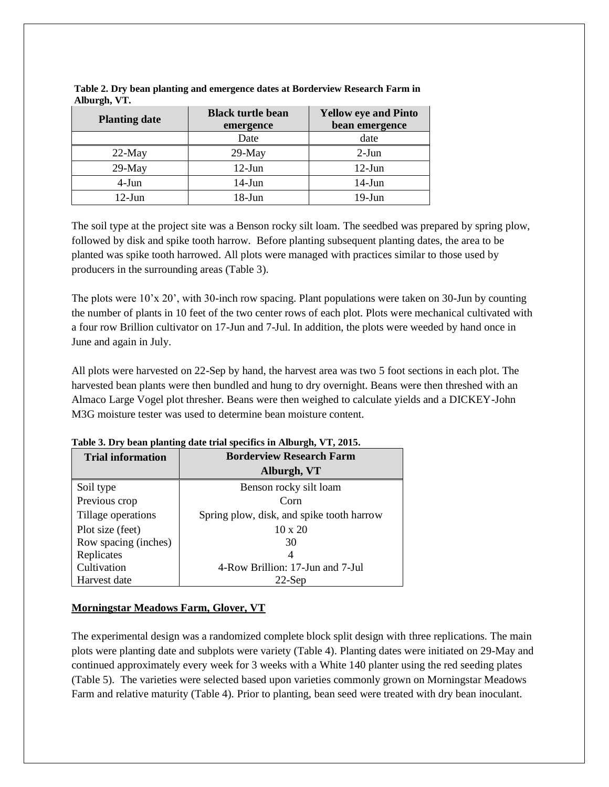| <b>Planting date</b> | <b>Black turtle bean</b><br>emergence | <b>Yellow eye and Pinto</b><br>bean emergence |
|----------------------|---------------------------------------|-----------------------------------------------|
|                      | Date                                  | date                                          |
| $22-May$             | $29-May$                              | $2-Jun$                                       |
| $29-May$             | $12$ -Jun                             | $12$ -Jun                                     |
| 4-Jun                | $14$ -Jun                             | $14$ -Jun                                     |
| 12-Jun               | 18-Jun                                | $19-J$ un                                     |

**Table 2. Dry bean planting and emergence dates at Borderview Research Farm in Alburgh, VT.**

The soil type at the project site was a Benson rocky silt loam. The seedbed was prepared by spring plow, followed by disk and spike tooth harrow. Before planting subsequent planting dates, the area to be planted was spike tooth harrowed. All plots were managed with practices similar to those used by producers in the surrounding areas (Table 3).

The plots were 10'x 20', with 30-inch row spacing. Plant populations were taken on 30-Jun by counting the number of plants in 10 feet of the two center rows of each plot. Plots were mechanical cultivated with a four row Brillion cultivator on 17-Jun and 7-Jul. In addition, the plots were weeded by hand once in June and again in July.

All plots were harvested on 22-Sep by hand, the harvest area was two 5 foot sections in each plot. The harvested bean plants were then bundled and hung to dry overnight. Beans were then threshed with an Almaco Large Vogel plot thresher. Beans were then weighed to calculate yields and a DICKEY-John M3G moisture tester was used to determine bean moisture content.

|  | Table 3. Dry bean planting date trial specifics in Alburgh, VT, 2015. |
|--|-----------------------------------------------------------------------|
|  |                                                                       |

| <b>Trial information</b> | <b>Borderview Research Farm</b>           |  |
|--------------------------|-------------------------------------------|--|
|                          | Alburgh, VT                               |  |
| Soil type                | Benson rocky silt loam                    |  |
| Previous crop            | Corn                                      |  |
| Tillage operations       | Spring plow, disk, and spike tooth harrow |  |
| Plot size (feet)         | $10 \times 20$                            |  |
| Row spacing (inches)     | 30                                        |  |
| Replicates               | 4                                         |  |
| Cultivation              | 4-Row Brillion: 17-Jun and 7-Jul          |  |
| Harvest date             | $22-Sep$                                  |  |

#### **Morningstar Meadows Farm, Glover, VT**

The experimental design was a randomized complete block split design with three replications. The main plots were planting date and subplots were variety (Table 4). Planting dates were initiated on 29-May and continued approximately every week for 3 weeks with a White 140 planter using the red seeding plates (Table 5). The varieties were selected based upon varieties commonly grown on Morningstar Meadows Farm and relative maturity (Table 4). Prior to planting, bean seed were treated with dry bean inoculant.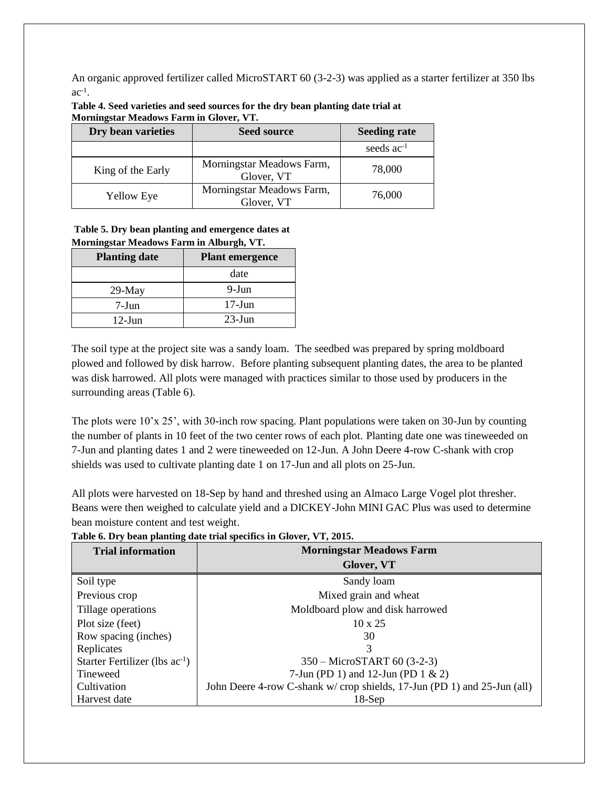An organic approved fertilizer called MicroSTART 60 (3-2-3) was applied as a starter fertilizer at 350 lbs  $ac^{-1}$ .

| Dry bean varieties | <b>Seed source</b>                      | <b>Seeding rate</b> |
|--------------------|-----------------------------------------|---------------------|
|                    |                                         | seeds $ac^{-1}$     |
| King of the Early  | Morningstar Meadows Farm,<br>Glover, VT | 78,000              |
| <b>Yellow Eye</b>  | Morningstar Meadows Farm,<br>Glover, VT | 76,000              |

**Table 4. Seed varieties and seed sources for the dry bean planting date trial at Morningstar Meadows Farm in Glover, VT.**

#### **Table 5. Dry bean planting and emergence dates at Morningstar Meadows Farm in Alburgh, VT.**

| <b>Planting date</b> | <b>Plant emergence</b> |  |  |
|----------------------|------------------------|--|--|
|                      | date                   |  |  |
| $29$ -May            | 9-Jun                  |  |  |
| 7-Jun                | $17$ -Jun              |  |  |
| $12$ -Jun            | $23$ -Jun              |  |  |

The soil type at the project site was a sandy loam. The seedbed was prepared by spring moldboard plowed and followed by disk harrow. Before planting subsequent planting dates, the area to be planted was disk harrowed. All plots were managed with practices similar to those used by producers in the surrounding areas (Table 6).

The plots were 10'x 25', with 30-inch row spacing. Plant populations were taken on 30-Jun by counting the number of plants in 10 feet of the two center rows of each plot. Planting date one was tineweeded on 7-Jun and planting dates 1 and 2 were tineweeded on 12-Jun. A John Deere 4-row C-shank with crop shields was used to cultivate planting date 1 on 17-Jun and all plots on 25-Jun.

All plots were harvested on 18-Sep by hand and threshed using an Almaco Large Vogel plot thresher. Beans were then weighed to calculate yield and a DICKEY-John MINI GAC Plus was used to determine bean moisture content and test weight.

| <b>Trial information</b>            | <b>Morningstar Meadows Farm</b>                                         |  |  |
|-------------------------------------|-------------------------------------------------------------------------|--|--|
|                                     | Glover, VT                                                              |  |  |
| Soil type                           | Sandy loam                                                              |  |  |
| Previous crop                       | Mixed grain and wheat                                                   |  |  |
| Tillage operations                  | Moldboard plow and disk harrowed                                        |  |  |
| Plot size (feet)                    | $10 \times 25$                                                          |  |  |
| Row spacing (inches)                | 30                                                                      |  |  |
| Replicates                          | 3                                                                       |  |  |
| Starter Fertilizer (lbs $ac^{-1}$ ) | 350 - MicroSTART 60 (3-2-3)                                             |  |  |
| Tineweed                            | 7-Jun (PD 1) and 12-Jun (PD 1 $\&$ 2)                                   |  |  |
| Cultivation                         | John Deere 4-row C-shank w/crop shields, 17-Jun (PD 1) and 25-Jun (all) |  |  |
| Harvest date                        | $18-Sep$                                                                |  |  |

**Table 6. Dry bean planting date trial specifics in Glover, VT, 2015.**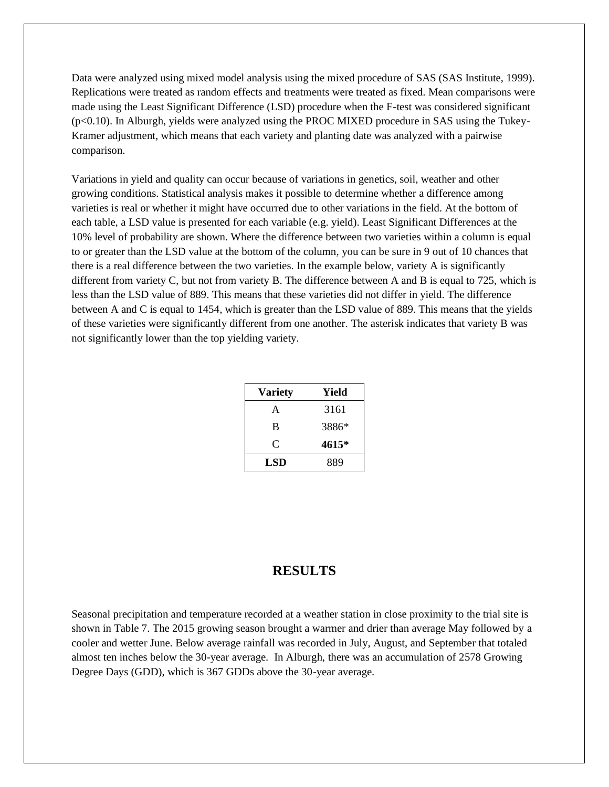Data were analyzed using mixed model analysis using the mixed procedure of SAS (SAS Institute, 1999). Replications were treated as random effects and treatments were treated as fixed. Mean comparisons were made using the Least Significant Difference (LSD) procedure when the F-test was considered significant (p<0.10). In Alburgh, yields were analyzed using the PROC MIXED procedure in SAS using the Tukey-Kramer adjustment, which means that each variety and planting date was analyzed with a pairwise comparison.

Variations in yield and quality can occur because of variations in genetics, soil, weather and other growing conditions. Statistical analysis makes it possible to determine whether a difference among varieties is real or whether it might have occurred due to other variations in the field. At the bottom of each table, a LSD value is presented for each variable (e.g. yield). Least Significant Differences at the 10% level of probability are shown. Where the difference between two varieties within a column is equal to or greater than the LSD value at the bottom of the column, you can be sure in 9 out of 10 chances that there is a real difference between the two varieties. In the example below, variety A is significantly different from variety C, but not from variety B. The difference between A and B is equal to 725, which is less than the LSD value of 889. This means that these varieties did not differ in yield. The difference between A and C is equal to 1454, which is greater than the LSD value of 889. This means that the yields of these varieties were significantly different from one another. The asterisk indicates that variety B was not significantly lower than the top yielding variety.

| <b>Variety</b> | Yield |
|----------------|-------|
| A              | 3161  |
| B              | 3886* |
| C              | 4615* |
| LSD            | 889   |

# **RESULTS**

Seasonal precipitation and temperature recorded at a weather station in close proximity to the trial site is shown in Table 7. The 2015 growing season brought a warmer and drier than average May followed by a cooler and wetter June. Below average rainfall was recorded in July, August, and September that totaled almost ten inches below the 30-year average. In Alburgh, there was an accumulation of 2578 Growing Degree Days (GDD), which is 367 GDDs above the 30-year average.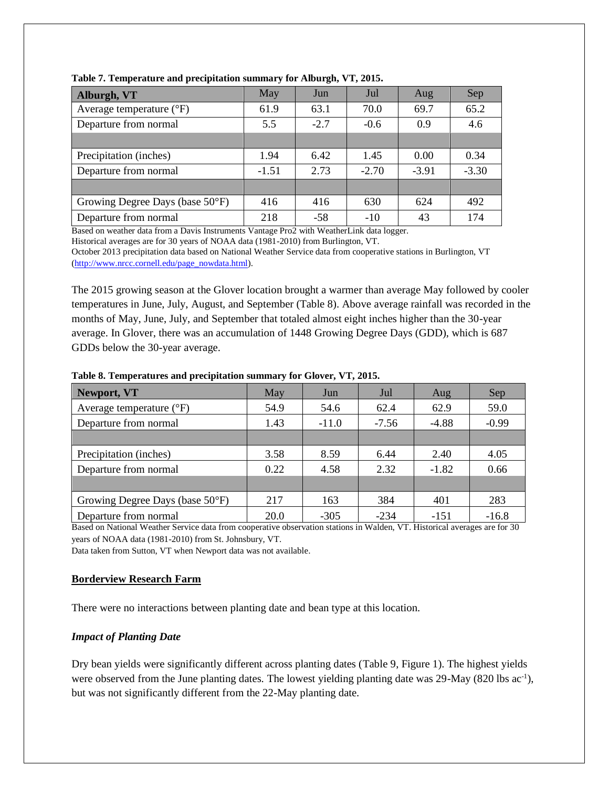| Alburgh, VT                       | May     | Jun    | Jul     | Aug     | Sep     |
|-----------------------------------|---------|--------|---------|---------|---------|
| Average temperature $(^{\circ}F)$ | 61.9    | 63.1   | 70.0    | 69.7    | 65.2    |
| Departure from normal             | 5.5     | $-2.7$ | $-0.6$  | 0.9     | 4.6     |
|                                   |         |        |         |         |         |
| Precipitation (inches)            | 1.94    | 6.42   | 1.45    | 0.00    | 0.34    |
| Departure from normal             | $-1.51$ | 2.73   | $-2.70$ | $-3.91$ | $-3.30$ |
|                                   |         |        |         |         |         |
| Growing Degree Days (base 50°F)   | 416     | 416    | 630     | 624     | 492     |
| Departure from normal             | 218     | $-58$  | $-10$   | 43      | 174     |

**Table 7. Temperature and precipitation summary for Alburgh, VT, 2015.**

Based on weather data from a Davis Instruments Vantage Pro2 with WeatherLink data logger.

Historical averages are for 30 years of NOAA data (1981-2010) from Burlington, VT.

October 2013 precipitation data based on National Weather Service data from cooperative stations in Burlington, VT [\(http://www.nrcc.cornell.edu/page\\_nowdata.html\)](http://www.nrcc.cornell.edu/page_nowdata.html).

The 2015 growing season at the Glover location brought a warmer than average May followed by cooler temperatures in June, July, August, and September (Table 8). Above average rainfall was recorded in the months of May, June, July, and September that totaled almost eight inches higher than the 30-year average. In Glover, there was an accumulation of 1448 Growing Degree Days (GDD), which is 687 GDDs below the 30-year average.

| Newport, VT                       | May  | Jun     | Jul     | Aug     | Sep     |
|-----------------------------------|------|---------|---------|---------|---------|
| Average temperature $(^{\circ}F)$ | 54.9 | 54.6    | 62.4    | 62.9    | 59.0    |
| Departure from normal             | 1.43 | $-11.0$ | $-7.56$ | $-4.88$ | $-0.99$ |
|                                   |      |         |         |         |         |
| Precipitation (inches)            | 3.58 | 8.59    | 6.44    | 2.40    | 4.05    |
| Departure from normal             | 0.22 | 4.58    | 2.32    | $-1.82$ | 0.66    |
|                                   |      |         |         |         |         |
| Growing Degree Days (base 50°F)   | 217  | 163     | 384     | 401     | 283     |
| Departure from normal             | 20.0 | $-305$  | $-234$  | $-151$  | $-16.8$ |

**Table 8. Temperatures and precipitation summary for Glover, VT, 2015.**

Based on National Weather Service data from cooperative observation stations in Walden, VT. Historical averages are for 30 years of NOAA data (1981-2010) from St. Johnsbury, VT.

Data taken from Sutton, VT when Newport data was not available.

#### **Borderview Research Farm**

There were no interactions between planting date and bean type at this location.

#### *Impact of Planting Date*

Dry bean yields were significantly different across planting dates (Table 9, Figure 1). The highest yields were observed from the June planting dates. The lowest yielding planting date was 29-May (820 lbs ac<sup>-1</sup>), but was not significantly different from the 22-May planting date.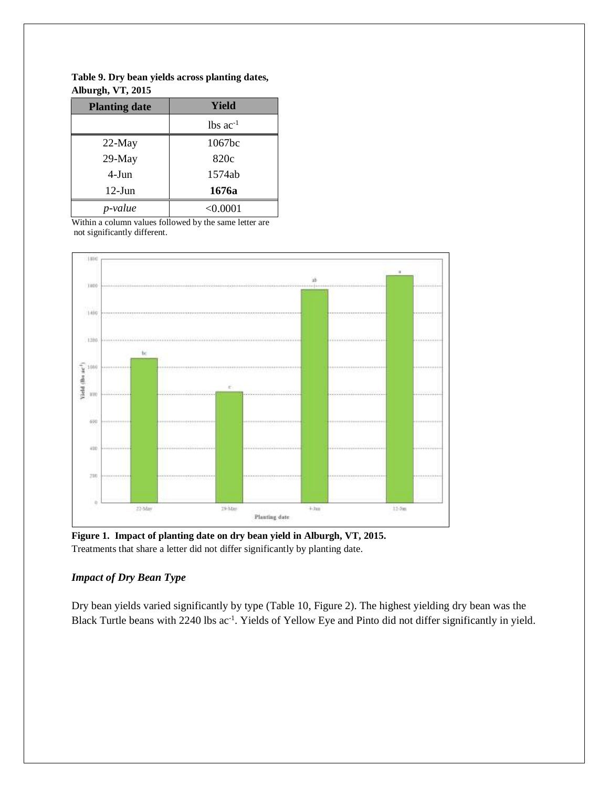| <b>Planting date</b> | Yield                  |
|----------------------|------------------------|
|                      | $lbs$ ac <sup>-1</sup> |
| 22-May               | 1067bc                 |
| 29-May               | 820c                   |
| 4-Jun                | 1574ab                 |
| $12$ -Jun            | 1676a                  |
| p-value              | < 0.0001               |

**Table 9. Dry bean yields across planting dates, Alburgh, VT, 2015**

Within a column values followed by the same letter are not significantly different.



**Figure 1. Impact of planting date on dry bean yield in Alburgh, VT, 2015.**  Treatments that share a letter did not differ significantly by planting date.

#### *Impact of Dry Bean Type*

Dry bean yields varied significantly by type (Table 10, Figure 2). The highest yielding dry bean was the Black Turtle beans with 2240 lbs ac<sup>-1</sup>. Yields of Yellow Eye and Pinto did not differ significantly in yield.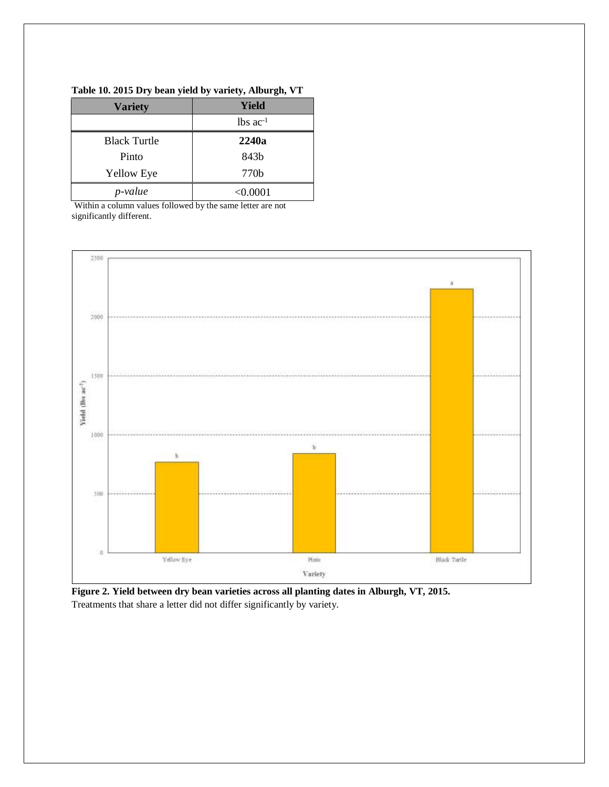| <b>Variety</b>      | Yield                  |  |  |
|---------------------|------------------------|--|--|
|                     | $lbs$ ac <sup>-1</sup> |  |  |
| <b>Black Turtle</b> | 2240a                  |  |  |
| Pinto               | 843 <sub>b</sub>       |  |  |
| <b>Yellow Eye</b>   | 770b                   |  |  |
| p-value             | < 0.0001               |  |  |

#### **Table 10. 2015 Dry bean yield by variety, Alburgh, VT**

Within a column values followed by the same letter are not significantly different.



**Figure 2. Yield between dry bean varieties across all planting dates in Alburgh, VT, 2015.**  Treatments that share a letter did not differ significantly by variety.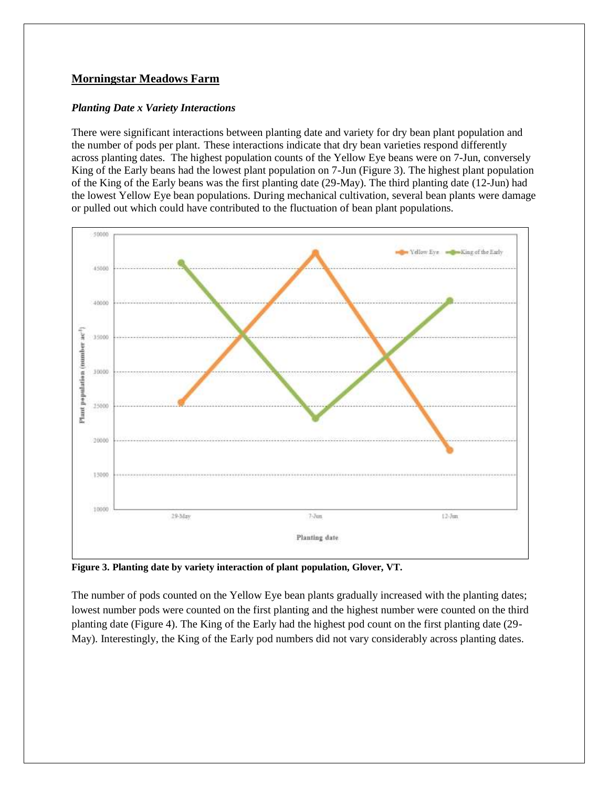#### **Morningstar Meadows Farm**

#### *Planting Date x Variety Interactions*

There were significant interactions between planting date and variety for dry bean plant population and the number of pods per plant. These interactions indicate that dry bean varieties respond differently across planting dates. The highest population counts of the Yellow Eye beans were on 7-Jun, conversely King of the Early beans had the lowest plant population on 7-Jun (Figure 3). The highest plant population of the King of the Early beans was the first planting date (29-May). The third planting date (12-Jun) had the lowest Yellow Eye bean populations. During mechanical cultivation, several bean plants were damage or pulled out which could have contributed to the fluctuation of bean plant populations.



**Figure 3. Planting date by variety interaction of plant population, Glover, VT.**

The number of pods counted on the Yellow Eye bean plants gradually increased with the planting dates; lowest number pods were counted on the first planting and the highest number were counted on the third planting date (Figure 4). The King of the Early had the highest pod count on the first planting date (29- May). Interestingly, the King of the Early pod numbers did not vary considerably across planting dates.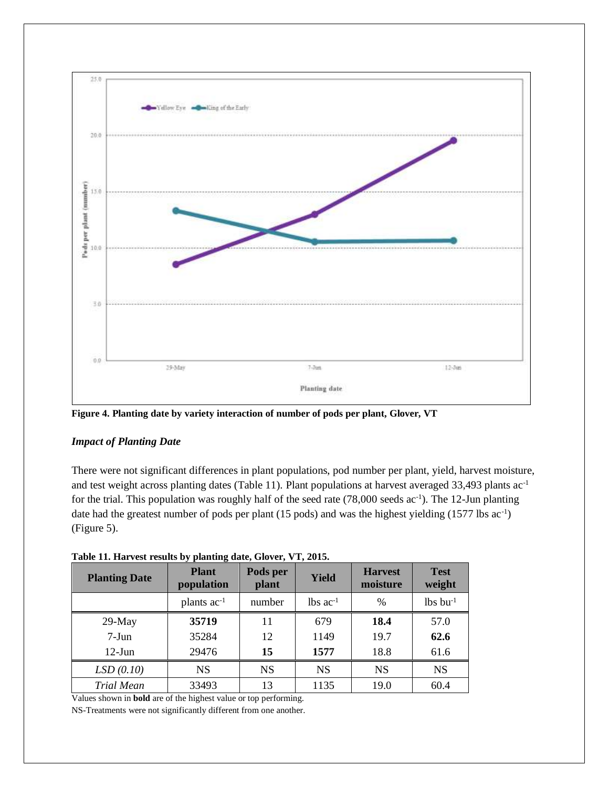

**Figure 4. Planting date by variety interaction of number of pods per plant, Glover, VT**

#### *Impact of Planting Date*

There were not significant differences in plant populations, pod number per plant, yield, harvest moisture, and test weight across planting dates (Table 11). Plant populations at harvest averaged 33,493 plants ac-1 for the trial. This population was roughly half of the seed rate  $(78,000 \text{ seeds} ac^{-1})$ . The 12-Jun planting date had the greatest number of pods per plant  $(15 \text{ pools})$  and was the highest yielding  $(1577 \text{ lbs ac}^{-1})$ (Figure 5).

| <b>Planting Date</b> | <b>Plant</b><br>population | Pods per<br>plant | Yield                  | <b>Harvest</b><br>moisture | <b>Test</b><br>weight |
|----------------------|----------------------------|-------------------|------------------------|----------------------------|-----------------------|
|                      | plants $ac^{-1}$           | number            | $lbs$ ac <sup>-1</sup> | $\%$                       | $lbs$ bu $^{-1}$      |
| $29-May$             | 35719                      | 11                | 679                    | 18.4                       | 57.0                  |
| $7-Jun$              | 35284                      | 12                | 1149                   | 19.7                       | 62.6                  |
| $12$ -Jun            | 29476                      | 15                | 1577                   | 18.8                       | 61.6                  |
| LSD(0.10)            | <b>NS</b>                  | <b>NS</b>         | <b>NS</b>              | <b>NS</b>                  | <b>NS</b>             |
| <b>Trial Mean</b>    | 33493                      | 13                | 1135                   | 19.0                       | 60.4                  |

**Table 11. Harvest results by planting date, Glover, VT, 2015.**

Values shown in **bold** are of the highest value or top performing.

NS-Treatments were not significantly different from one another.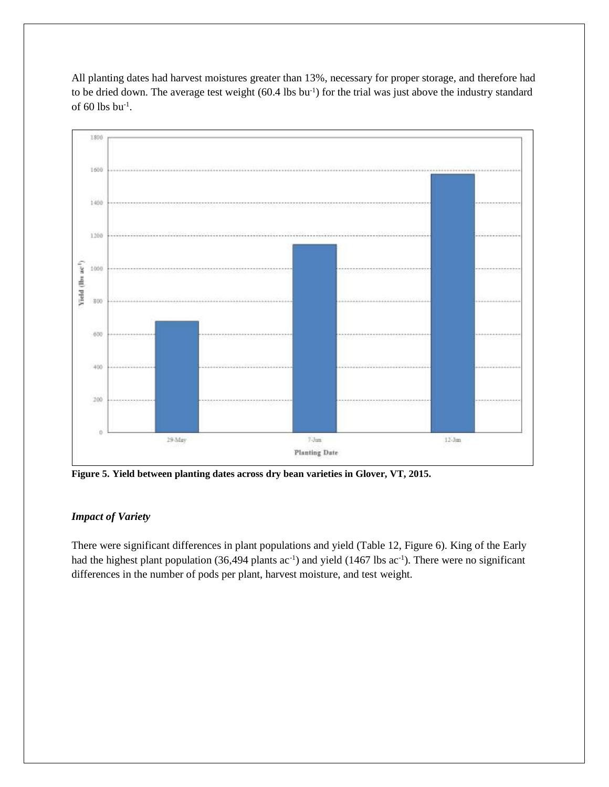All planting dates had harvest moistures greater than 13%, necessary for proper storage, and therefore had to be dried down. The average test weight (60.4 lbs bu<sup>-1</sup>) for the trial was just above the industry standard of 60 lbs  $bu^{-1}$ .



**Figure 5. Yield between planting dates across dry bean varieties in Glover, VT, 2015.** 

#### *Impact of Variety*

There were significant differences in plant populations and yield (Table 12, Figure 6). King of the Early had the highest plant population (36,494 plants ac<sup>-1</sup>) and yield (1467 lbs ac<sup>-1</sup>). There were no significant differences in the number of pods per plant, harvest moisture, and test weight.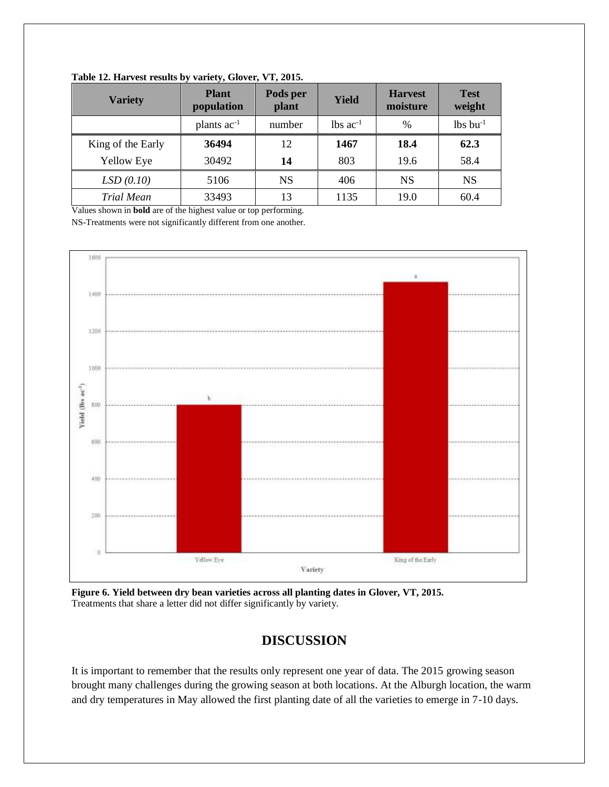| <b>Variety</b>    | <b>Plant</b><br>population | Pods per<br>plant | Yield                  | <b>Harvest</b><br>moisture | <b>Test</b><br>weight  |
|-------------------|----------------------------|-------------------|------------------------|----------------------------|------------------------|
|                   | plants $ac^{-1}$           | number            | $lbs$ ac <sup>-1</sup> | $\%$                       | $lbs$ bu <sup>-1</sup> |
| King of the Early | 36494                      | 12                | 1467                   | 18.4                       | 62.3                   |
| <b>Yellow Eye</b> | 30492                      | 14                | 803                    | 19.6                       | 58.4                   |
| LSD(0.10)         | 5106                       | <b>NS</b>         | 406                    | <b>NS</b>                  | <b>NS</b>              |
| Trial Mean        | 33493                      | 13                | 1135                   | 19.0                       | 60.4                   |

**Table 12. Harvest results by variety, Glover, VT, 2015.**

Values shown in **bold** are of the highest value or top performing. NS-Treatments were not significantly different from one another.



**Figure 6. Yield between dry bean varieties across all planting dates in Glover, VT, 2015.**  Treatments that share a letter did not differ significantly by variety.

# **DISCUSSION**

It is important to remember that the results only represent one year of data. The 2015 growing season brought many challenges during the growing season at both locations. At the Alburgh location, the warm and dry temperatures in May allowed the first planting date of all the varieties to emerge in 7-10 days.